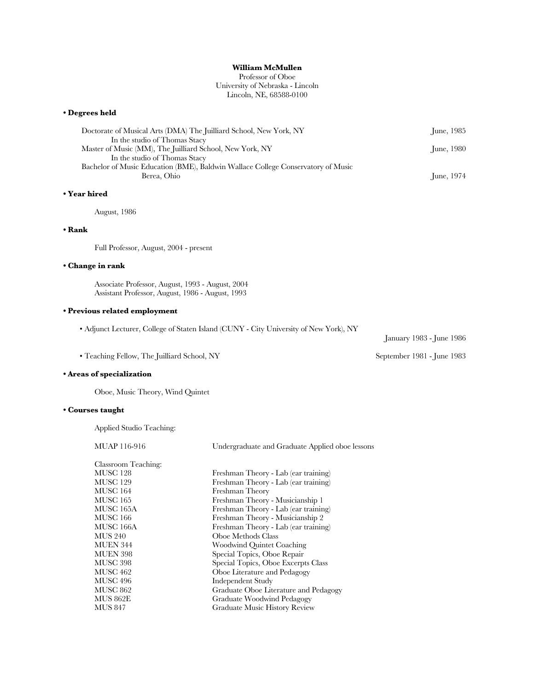# **William McMullen**

# Professor of Oboe University of Nebraska - Lincoln Lincoln, NE, 68588-0100

## **• Degrees held**

| Doctorate of Musical Arts (DMA) The Juilliard School, New York, NY               | <b>Iune, 1985</b>  |
|----------------------------------------------------------------------------------|--------------------|
| In the studio of Thomas Stacy                                                    |                    |
| Master of Music (MM), The Juilliard School, New York, NY                         | <b>Iune, 1980</b>  |
| In the studio of Thomas Stacy                                                    |                    |
| Bachelor of Music Education (BME), Baldwin Wallace College Conservatory of Music |                    |
| Berea, Ohio                                                                      | <b>Iune</b> , 1974 |

# **• Year hired**

August, 1986

## **• Rank**

Full Professor, August, 2004 - present

# **• Change in rank**

Associate Professor, August, 1993 - August, 2004 Assistant Professor, August, 1986 - August, 1993

# **• Previous related employment**

• Adjunct Lecturer, College of Staten Island (CUNY - City University of New York), NY

• Teaching Fellow, The Juilliard School, NY September 1981 - June 1983

# **• Areas of specialization**

Oboe, Music Theory, Wind Quintet

# **• Courses taught**

Applied Studio Teaching:

MUAP 116-916 Undergraduate and Graduate Applied oboe lessons Classroom Teaching: MUSC 128 Freshman Theory - Lab (ear training) MUSC 129 Freshman Theory - Lab (ear training) MUSC 164 Freshman Theory<br>MUSC 165 Freshman Theory Freshman Theory - Musicianship 1 MUSC 165A Freshman Theory - Lab (ear training) MUSC 166 Freshman Theory - Musicianship 2 MUSC 166A Freshman Theory - Lab (ear training) MUS 240 Oboe Methods Class MUEN 344 Woodwind Quintet Coaching MUEN 398 Special Topics, Oboe Repair<br>MUSC 398 Special Topics, Oboe Excerpt Special Topics, Oboe Excerpts Class MUSC 462 Oboe Literature and Pedagogy MUSC 496 Independent Study MUSC 862 Graduate Oboe Literature and Pedagogy Graduate Woodwind Pedagogy MUS 847 Graduate Music History Review

January 1983 - June 1986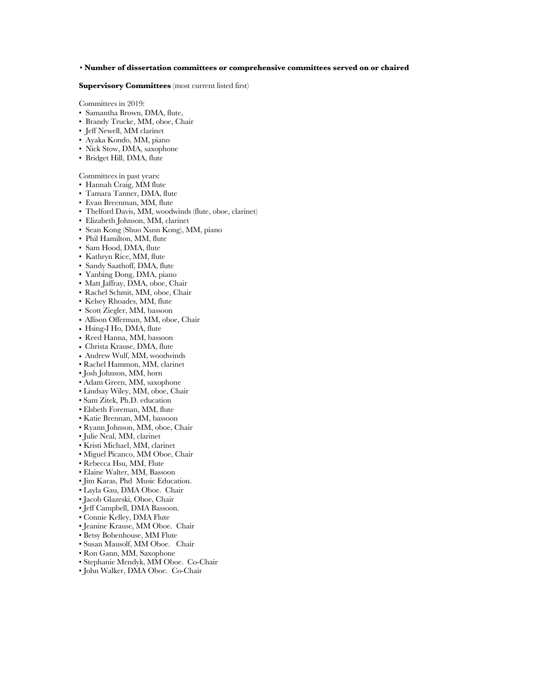### • **Number of dissertation committees or comprehensive committees served on or chaired**

## **Supervisory Committees** (most current listed first)

Committees in 2019:

- Samantha Brown, DMA, flute,
- Brandy Trucke, MM, oboe, Chair
- Jeff Newell, MM clarinet
- Ayaka Kondo, MM, piano
- Nick Stow, DMA, saxophone
- Bridget Hill, DMA, flute

Committees in past years:

- Hannah Craig, MM flute
- Tamara Tanner, DMA, flute
- Evan Breenman, MM, flute
- Thelford Davis, MM, woodwinds (flute, oboe, clarinet)
- Elizabeth Johnson, MM, clarinet
- Sean Kong (Shuo Xusn Kong), MM, piano
- Phil Hamilton, MM, flute
- Sam Hood, DMA, flute
- Kathryn Rice, MM, flute
- Sandy Saathoff, DMA, flute
- Yanbing Dong, DMA, piano
- Matt Jaffray, DMA, oboe, Chair
- Rachel Schmit, MM, oboe, Chair
- Kelsey Rhoades, MM, flute
- Scott Ziegler, MM, bassoon
- Allison Offerman, MM, oboe, Chair
- Hsing-I Ho, DMA, flute
- Reed Hanna, MM, bassoon
- Christa Krause, DMA, flute
- Andrew Wulf, MM, woodwinds
- Rachel Hammon, MM, clarinet
- Josh Johnson, MM, horn
- Adam Green, MM, saxophone
- Lindsay Wiley, MM, oboe, Chair
- Sam Zitek, Ph.D. education
- Elsbeth Foreman, MM, flute
- Katie Brennan, MM, bassoon
- Ryann Johnson, MM, oboe, Chair
- Julie Neal, MM, clarinet
- Kristi Michael, MM, clarinet
- Miguel Picanco, MM Oboe, Chair
- Rebecca Hsu, MM, Flute
- Elaine Walter, MM, Bassoon
- Jim Karas, Phd Music Education.
- Layla Gau, DMA Oboe. Chair
- Jacob Glazeski, Oboe, Chair
- Jeff Campbell, DMA Bassoon.
- Connie Kelley, DMA Flute
- 
- Jeanine Krause, MM Oboe. Chair
- Betsy Bobenhouse, MM Flute
- Susan Mausolf, MM Oboe. Chair
- Ron Gann, MM, Saxophone
- Stephanie Mendyk, MM Oboe. Co-Chair
- John Walker, DMA Oboe. Co-Chair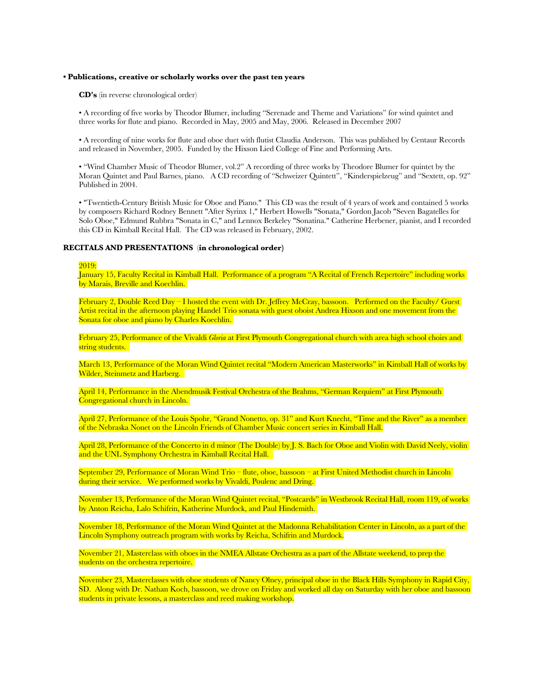# **• Publications, creative or scholarly works over the past ten years**

**CD's** (in reverse chronological order)

• A recording of five works by Theodor Blumer, including "Serenade and Theme and Variations" for wind quintet and three works for flute and piano. Recorded in May, 2005 and May, 2006. Released in December 2007

• A recording of nine works for flute and oboe duet with flutist Claudia Anderson. This was published by Centaur Records and released in November, 2005. Funded by the Hixson Lied College of Fine and Performing Arts.

• "Wind Chamber Music of Theodor Blumer, vol.2" A recording of three works by Theodore Blumer for quintet by the Moran Quintet and Paul Barnes, piano. A CD recording of "Schweizer Quintett", "Kinderspielzeug" and "Sextett, op. 92" Published in 2004.

• "Twentieth-Century British Music for Oboe and Piano." This CD was the result of 4 years of work and contained 5 works by composers Richard Rodney Bennett "After Syrinx 1," Herbert Howells "Sonata," Gordon Jacob "Seven Bagatelles for Solo Oboe," Edmund Rubbra "Sonata in C," and Lennox Berkeley "Sonatina." Catherine Herbener, pianist, and I recorded this CD in Kimball Recital Hall. The CD was released in February, 2002.

# **RECITALS AND PRESENTATIONS** (**in chronological order)**

#### 2019:

January 15, Faculty Recital in Kimball Hall. Performance of a program "A Recital of French Repertoire" including works by Marais, Breville and Koechlin.

February 2, Double Reed Day – I hosted the event with Dr. Jeffrey McCray, bassoon. Performed on the Faculty/ Guest Artist recital in the afternoon playing Handel Trio sonata with guest oboist Andrea Hixson and one movement from the Sonata for oboe and piano by Charles Koechlin.

February 25, Performance of the Vivaldi *Gloria* at First Plymouth Congregational church with area high school choirs and string students.

March 13, Performance of the Moran Wind Quintet recital "Modern American Masterworks" in Kimball Hall of works by Wilder, Steinmetz and Harberg.

April 14, Performance in the Abendmusik Festival Orchestra of the Brahms, "German Requiem" at First Plymouth Congregational church in Lincoln.

April 27, Performance of the Louis Spohr, "Grand Nonetto, op. 31" and Kurt Knecht, "Time and the River" as a member of the Nebraska Nonet on the Lincoln Friends of Chamber Music concert series in Kimball Hall.

April 28, Performance of the Concerto in d minor (The Double) by J. S. Bach for Oboe and Violin with David Neely, violin and the UNL Symphony Orchestra in Kimball Recital Hall.

September 29, Performance of Moran Wind Trio – flute, oboe, bassoon – at First United Methodist church in Lincoln during their service. We performed works by Vivaldi, Poulenc and Dring.

November 13, Performance of the Moran Wind Quintet recital, "Postcards" in Westbrook Recital Hall, room 119, of works by Anton Reicha, Lalo Schifrin, Katherine Murdock, and Paul Hindemith.

November 18, Performance of the Moran Wind Quintet at the Madonna Rehabilitation Center in Lincoln, as a part of the Lincoln Symphony outreach program with works by Reicha, Schifrin and Murdock.

November 21, Masterclass with oboes in the NMEA Allstate Orchestra as a part of the Allstate weekend, to prep the students on the orchestra repertoire.

November 23, Masterclasses with oboe students of Nancy Olney, principal oboe in the Black Hills Symphony in Rapid City, SD. Along with Dr. Nathan Koch, bassoon, we drove on Friday and worked all day on Saturday with her oboe and bassoon students in private lessons, a masterclass and reed making workshop.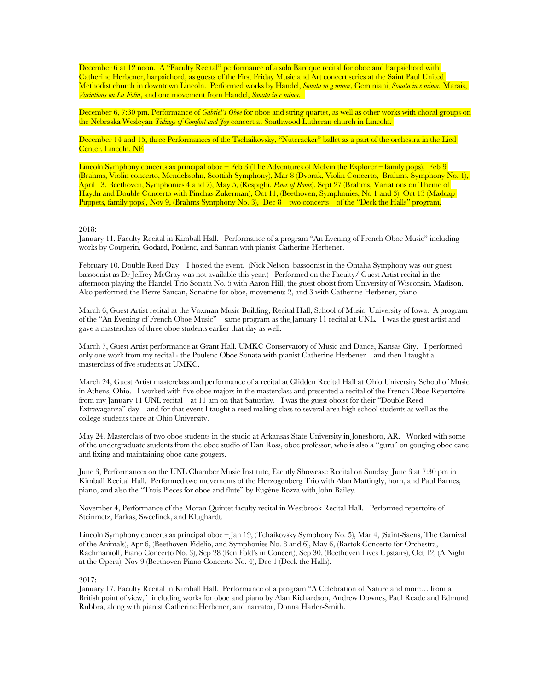December 6 at 12 noon. A "Faculty Recital" performance of a solo Baroque recital for oboe and harpsichord with Catherine Herbener, harpsichord, as guests of the First Friday Music and Art concert series at the Saint Paul United Methodist church in downtown Lincoln. Performed works by Handel, *Sonata in g minor*, Geminiani, *Sonata in e minor,* Marais, *Variations on La Folia*, and one movement from Handel, *Sonata in c minor.*

December 6, 7:30 pm, Performance of *Gabriel's Oboe* for oboe and string quartet, as well as other works with choral groups on the Nebraska Wesleyan *Tidings of Comfort and Joy* concert at Southwood Lutheran church in Lincoln.

December 14 and 15, three Performances of the Tschaikovsky, "Nutcracker" ballet as a part of the orchestra in the Lied Center, Lincoln, NE

Lincoln Symphony concerts as principal oboe – Feb 3 (The Adventures of Melvin the Explorer – family pops), Feb 9 (Brahms, Violin concerto, Mendelssohn, Scottish Symphony), Mar 8 (Dvorak, Violin Concerto, Brahms, Symphony No. 1), April 13, Beethoven, Symphonies 4 and 7), May 5, (Respighi, *Pines of Rome*), Sept 27 (Brahms, Variations on Theme of Haydn and Double Concerto with Pinchas Zukerman), Oct 11, (Beethoven, Symphonies, No 1 and 3), Oct 13 (Madcap Puppets, family pops), Nov 9, (Brahms Symphony No. 3), Dec 8 – two concerts – of the "Deck the Halls" program.

### 2018:

January 11, Faculty Recital in Kimball Hall. Performance of a program "An Evening of French Oboe Music" including works by Couperin, Godard, Poulenc, and Sancan with pianist Catherine Herbener.

February 10, Double Reed Day – I hosted the event. (Nick Nelson, bassoonist in the Omaha Symphony was our guest bassoonist as Dr Jeffrey McCray was not available this year.) Performed on the Faculty/ Guest Artist recital in the afternoon playing the Handel Trio Sonata No. 5 with Aaron Hill, the guest oboist from University of Wisconsin, Madison. Also performed the Pierre Sancan, Sonatine for oboe, movements 2, and 3 with Catherine Herbener, piano

March 6, Guest Artist recital at the Voxman Music Building, Recital Hall, School of Music, University of Iowa. A program of the "An Evening of French Oboe Music" – same program as the January 11 recital at UNL. I was the guest artist and gave a masterclass of three oboe students earlier that day as well.

March 7, Guest Artist performance at Grant Hall, UMKC Conservatory of Music and Dance, Kansas City. I performed only one work from my recital - the Poulenc Oboe Sonata with pianist Catherine Herbener – and then I taught a masterclass of five students at UMKC.

March 24, Guest Artist masterclass and performance of a recital at Glidden Recital Hall at Ohio University School of Music in Athens, Ohio. I worked with five oboe majors in the masterclass and presented a recital of the French Oboe Repertoire – from my January 11 UNL recital – at 11 am on that Saturday. I was the guest oboist for their "Double Reed Extravaganza" day – and for that event I taught a reed making class to several area high school students as well as the college students there at Ohio University.

May 24, Masterclass of two oboe students in the studio at Arkansas State University in Jonesboro, AR. Worked with some of the undergraduate students from the oboe studio of Dan Ross, oboe professor, who is also a "guru" on gouging oboe cane and fixing and maintaining oboe cane gougers.

June 3, Performances on the UNL Chamber Music Institute, Facutly Showcase Recital on Sunday, June 3 at 7:30 pm in Kimball Recital Hall. Performed two movements of the Herzogenberg Trio with Alan Mattingly, horn, and Paul Barnes, piano, and also the "Trois Pieces for oboe and flute" by Eugène Bozza with John Bailey.

November 4, Performance of the Moran Quintet faculty recital in Westbrook Recital Hall. Performed repertoire of Steinmetz, Farkas, Sweelinck, and Klughardt.

Lincoln Symphony concerts as principal oboe – Jan 19, (Tchaikovsky Symphony No. 5), Mar 4, (Saint-Saens, The Carnival of the Animals), Apr 6, (Beethoven Fidelio, and Symphonies No. 8 and 6), May 6, (Bartok Concerto for Orchestra, Rachmanioff, Piano Concerto No. 3), Sep 28 (Ben Fold's in Concert), Sep 30, (Beethoven Lives Upstairs), Oct 12, (A Night at the Opera), Nov 9 (Beethoven Piano Concerto No. 4), Dec 1 (Deck the Halls).

### 2017:

January 17, Faculty Recital in Kimball Hall. Performance of a program "A Celebration of Nature and more… from a British point of view," including works for oboe and piano by Alan Richardson, Andrew Downes, Paul Reade and Edmund Rubbra, along with pianist Catherine Herbener, and narrator, Donna Harler-Smith.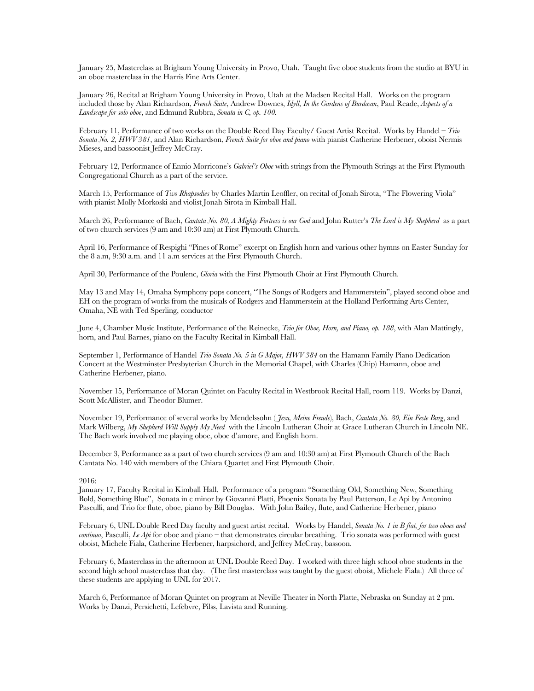January 25, Masterclass at Brigham Young University in Provo, Utah. Taught five oboe students from the studio at BYU in an oboe masterclass in the Harris Fine Arts Center.

January 26, Recital at Brigham Young University in Provo, Utah at the Madsen Recital Hall. Works on the program included those by Alan Richardson, *French Suite*, Andrew Downes, *Idyll, In the Gardens of Burdwan*, Paul Reade, *Aspects of a Landscape for solo oboe*, and Edmund Rubbra, *Sonata in C, op. 100.* 

February 11, Performance of two works on the Double Reed Day Faculty/ Guest Artist Recital. Works by Handel – *Trio Sonata No. 2, HWV 381*, and Alan Richardson, *French Suite for oboe and piano* with pianist Catherine Herbener, oboist Nermis Mieses, and bassoonist Jeffrey McCray.

February 12, Performance of Ennio Morricone's *Gabriel's Oboe* with strings from the Plymouth Strings at the First Plymouth Congregational Church as a part of the service.

March 15, Performance of *Two Rhapsodies* by Charles Martin Leoffler, on recital of Jonah Sirota, "The Flowering Viola" with pianist Molly Morkoski and violist Jonah Sirota in Kimball Hall.

March 26, Performance of Bach, *Cantata No. 80, A Mighty Fortress is our God* and John Rutter's *The Lord is My Shepherd* as a part of two church services (9 am and 10:30 am) at First Plymouth Church.

April 16, Performance of Respighi "Pines of Rome" excerpt on English horn and various other hymns on Easter Sunday for the 8 a.m, 9:30 a.m. and 11 a.m services at the First Plymouth Church.

April 30, Performance of the Poulenc, *Gloria* with the First Plymouth Choir at First Plymouth Church.

May 13 and May 14, Omaha Symphony pops concert, "The Songs of Rodgers and Hammerstein", played second oboe and EH on the program of works from the musicals of Rodgers and Hammerstein at the Holland Performing Arts Center, Omaha, NE with Ted Sperling, conductor

June 4, Chamber Music Institute, Performance of the Reinecke, *Trio for Oboe, Horn, and Piano, op. 188*, with Alan Mattingly, horn, and Paul Barnes, piano on the Faculty Recital in Kimball Hall.

September 1, Performance of Handel *Trio Sonata No. 5 in G Major, HWV 384* on the Hamann Family Piano Dedication Concert at the Westminster Presbyterian Church in the Memorial Chapel, with Charles (Chip) Hamann, oboe and Catherine Herbener, piano.

November 15, Performance of Moran Quintet on Faculty Recital in Westbrook Recital Hall, room 119. Works by Danzi, Scott McAllister, and Theodor Blumer.

November 19, Performance of several works by Mendelssohn ( *Jesu, Meine Freude*), Bach, *Cantata No. 80, Ein Feste Burg*, and Mark Wilberg, *My Shepherd Will Supply My Need* with the Lincoln Lutheran Choir at Grace Lutheran Church in Lincoln NE. The Bach work involved me playing oboe, oboe d'amore, and English horn.

December 3, Performance as a part of two church services (9 am and 10:30 am) at First Plymouth Church of the Bach Cantata No. 140 with members of the Chiara Quartet and First Plymouth Choir.

2016:

January 17, Faculty Recital in Kimball Hall. Performance of a program "Something Old, Something New, Something Bold, Something Blue", Sonata in c minor by Giovanni Platti, Phoenix Sonata by Paul Patterson, Le Api by Antonino Pasculli, and Trio for flute, oboe, piano by Bill Douglas. With John Bailey, flute, and Catherine Herbener, piano

February 6, UNL Double Reed Day faculty and guest artist recital. Works by Handel, *Sonata No. 1 in B flat, for two oboes and continuo*, Pasculli, *Le Api* for oboe and piano – that demonstrates circular breathing. Trio sonata was performed with guest oboist, Michele Fiala, Catherine Herbener, harpsichord, and Jeffrey McCray, bassoon.

February 6, Masterclass in the afternoon at UNL Double Reed Day. I worked with three high school oboe students in the second high school masterclass that day. (The first masterclass was taught by the guest oboist, Michele Fiala.) All three of these students are applying to UNL for 2017.

March 6, Performance of Moran Quintet on program at Neville Theater in North Platte, Nebraska on Sunday at 2 pm. Works by Danzi, Persichetti, Lefebvre, Pilss, Lavista and Running.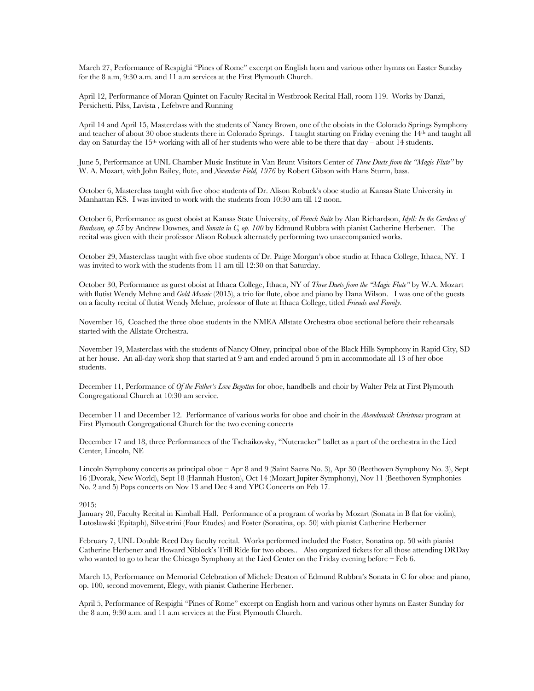March 27, Performance of Respighi "Pines of Rome" excerpt on English horn and various other hymns on Easter Sunday for the 8 a.m, 9:30 a.m. and 11 a.m services at the First Plymouth Church.

April 12, Performance of Moran Quintet on Faculty Recital in Westbrook Recital Hall, room 119. Works by Danzi, Persichetti, Pilss, Lavista , Lefebvre and Running

April 14 and April 15, Masterclass with the students of Nancy Brown, one of the oboists in the Colorado Springs Symphony and teacher of about 30 oboe students there in Colorado Springs. I taught starting on Friday evening the 14th and taught all day on Saturday the 15th working with all of her students who were able to be there that day – about 14 students.

June 5, Performance at UNL Chamber Music Institute in Van Brunt Visitors Center of *Three Duets from the "Magic Flute"* by W. A. Mozart, with John Bailey, flute, and *November Field, 1976* by Robert Gibson with Hans Sturm, bass.

October 6, Masterclass taught with five oboe students of Dr. Alison Robuck's oboe studio at Kansas State University in Manhattan KS. I was invited to work with the students from 10:30 am till 12 noon.

October 6, Performance as guest oboist at Kansas State University, of *French Suite* by Alan Richardson, *Idyll: In the Gardens of Burdwan, op 55* by Andrew Downes, and *Sonata in C, op. 100* by Edmund Rubbra with pianist Catherine Herbener. The recital was given with their professor Alison Robuck alternately performing two unaccompanied works.

October 29, Masterclass taught with five oboe students of Dr. Paige Morgan's oboe studio at Ithaca College, Ithaca, NY. I was invited to work with the students from 11 am till 12:30 on that Saturday.

October 30, Performance as guest oboist at Ithaca College, Ithaca, NY of *Three Duets from the "Magic Flute"* by W.A. Mozart with flutist Wendy Mehne and *Gold Mosaic* (2015), a trio for flute, oboe and piano by Dana Wilson. I was one of the guests on a faculty recital of flutist Wendy Mehne, professor of flute at Ithaca College, titled *Friends and Family*.

November 16, Coached the three oboe students in the NMEA Allstate Orchestra oboe sectional before their rehearsals started with the Allstate Orchestra.

November 19, Masterclass with the students of Nancy Olney, principal oboe of the Black Hills Symphony in Rapid City, SD at her house. An all-day work shop that started at 9 am and ended around 5 pm in accommodate all 13 of her oboe students.

December 11, Performance of *Of the Father's Love Begotten* for oboe, handbells and choir by Walter Pelz at First Plymouth Congregational Church at 10:30 am service.

December 11 and December 12. Performance of various works for oboe and choir in the *Abendmusik Christmas* program at First Plymouth Congregational Church for the two evening concerts

December 17 and 18, three Performances of the Tschaikovsky, "Nutcracker" ballet as a part of the orchestra in the Lied Center, Lincoln, NE

Lincoln Symphony concerts as principal oboe – Apr 8 and 9 (Saint Saens No. 3), Apr 30 (Beethoven Symphony No. 3), Sept 16 (Dvorak, New World), Sept 18 (Hannah Huston), Oct 14 (Mozart Jupiter Symphony), Nov 11 (Beethoven Symphonies No. 2 and 5) Pops concerts on Nov 13 and Dec 4 and YPC Concerts on Feb 17.

### 2015:

January 20, Faculty Recital in Kimball Hall. Performance of a program of works by Mozart (Sonata in B flat for violin), Lutoslawski (Epitaph), Silvestrini (Four Etudes) and Foster (Sonatina, op. 50) with pianist Catherine Herberner

February 7, UNL Double Reed Day faculty recital. Works performed included the Foster, Sonatina op. 50 with pianist Catherine Herbener and Howard Niblock's Trill Ride for two oboes.. Also organized tickets for all those attending DRDay who wanted to go to hear the Chicago Symphony at the Lied Center on the Friday evening before – Feb 6.

March 15, Performance on Memorial Celebration of Michele Deaton of Edmund Rubbra's Sonata in C for oboe and piano, op. 100, second movement, Elegy, with pianist Catherine Herbener.

April 5, Performance of Respighi "Pines of Rome" excerpt on English horn and various other hymns on Easter Sunday for the 8 a.m, 9:30 a.m. and 11 a.m services at the First Plymouth Church.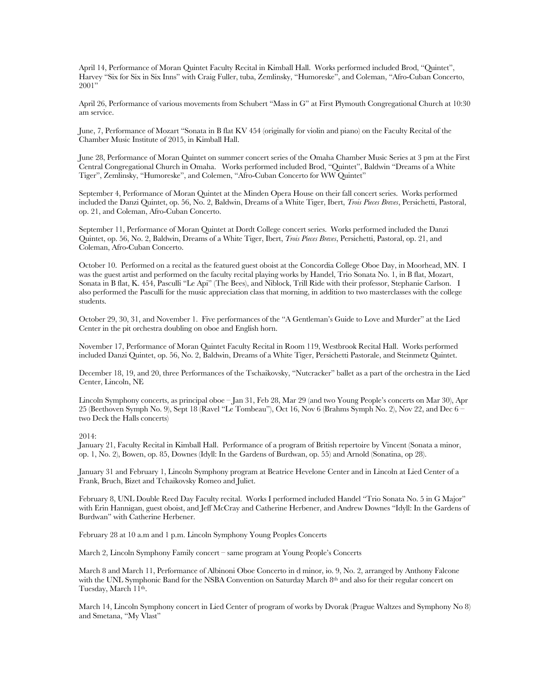April 14, Performance of Moran Quintet Faculty Recital in Kimball Hall. Works performed included Brod, "Quintet", Harvey "Six for Six in Six Inns" with Craig Fuller, tuba, Zemlinsky, "Humoreske", and Coleman, "Afro-Cuban Concerto,  $2001"$ 

April 26, Performance of various movements from Schubert "Mass in G" at First Plymouth Congregational Church at 10:30 am service.

June, 7, Performance of Mozart "Sonata in B flat KV 454 (originally for violin and piano) on the Faculty Recital of the Chamber Music Institute of 2015, in Kimball Hall.

June 28, Performance of Moran Quintet on summer concert series of the Omaha Chamber Music Series at 3 pm at the First Central Congregational Church in Omaha. Works performed included Brod, "Quintet", Baldwin "Dreams of a White Tiger", Zemlinsky, "Humoreske", and Colemen, "Afro-Cuban Concerto for WW Quintet"

September 4, Performance of Moran Quintet at the Minden Opera House on their fall concert series. Works performed included the Danzi Quintet, op. 56, No. 2, Baldwin, Dreams of a White Tiger, Ibert, *Trois Pieces Breves*, Persichetti, Pastoral, op. 21, and Coleman, Afro-Cuban Concerto.

September 11, Performance of Moran Quintet at Dordt College concert series. Works performed included the Danzi Quintet, op. 56, No. 2, Baldwin, Dreams of a White Tiger, Ibert, *Trois Pieces Breves*, Persichetti, Pastoral, op. 21, and Coleman, Afro-Cuban Concerto.

October 10. Performed on a recital as the featured guest oboist at the Concordia College Oboe Day, in Moorhead, MN. I was the guest artist and performed on the faculty recital playing works by Handel, Trio Sonata No. 1, in B flat, Mozart, Sonata in B flat, K. 454, Pasculli "Le Api" (The Bees), and Niblock, Trill Ride with their professor, Stephanie Carlson. I also performed the Pasculli for the music appreciation class that morning, in addition to two masterclasses with the college students.

October 29, 30, 31, and November 1. Five performances of the "A Gentleman's Guide to Love and Murder" at the Lied Center in the pit orchestra doubling on oboe and English horn.

November 17, Performance of Moran Quintet Faculty Recital in Room 119, Westbrook Recital Hall. Works performed included Danzi Quintet, op. 56, No. 2, Baldwin, Dreams of a White Tiger, Persichetti Pastorale, and Steinmetz Quintet.

December 18, 19, and 20, three Performances of the Tschaikovsky, "Nutcracker" ballet as a part of the orchestra in the Lied Center, Lincoln, NE

Lincoln Symphony concerts, as principal oboe – Jan 31, Feb 28, Mar 29 (and two Young People's concerts on Mar 30), Apr 25 (Beethoven Symph No. 9), Sept 18 (Ravel "Le Tombeau"), Oct 16, Nov 6 (Brahms Symph No. 2), Nov 22, and Dec 6 – two Deck the Halls concerts)

### 2014:

January 21, Faculty Recital in Kimball Hall. Performance of a program of British repertoire by Vincent (Sonata a minor, op. 1, No. 2), Bowen, op. 85, Downes (Idyll: In the Gardens of Burdwan, op. 55) and Arnold (Sonatina, op 28).

January 31 and February 1, Lincoln Symphony program at Beatrice Hevelone Center and in Lincoln at Lied Center of a Frank, Bruch, Bizet and Tchaikovsky Romeo and Juliet.

February 8, UNL Double Reed Day Faculty recital. Works I performed included Handel "Trio Sonata No. 5 in G Major" with Erin Hannigan, guest oboist, and Jeff McCray and Catherine Herbener, and Andrew Downes "Idyll: In the Gardens of Burdwan" with Catherine Herbener.

February 28 at 10 a.m and 1 p.m. Lincoln Symphony Young Peoples Concerts

March 2, Lincoln Symphony Family concert – same program at Young People's Concerts

March 8 and March 11, Performance of Albinoni Oboe Concerto in d minor, io. 9, No. 2, arranged by Anthony Falcone with the UNL Symphonic Band for the NSBA Convention on Saturday March 8th and also for their regular concert on Tuesday, March 11th.

March 14, Lincoln Symphony concert in Lied Center of program of works by Dvorak (Prague Waltzes and Symphony No 8) and Smetana, "My Vlast"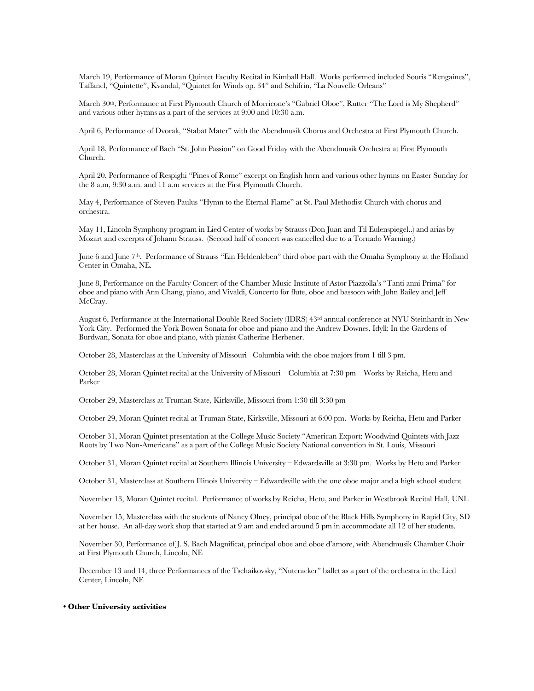March 19, Performance of Moran Quintet Faculty Recital in Kimball Hall. Works performed included Souris "Rengaines", Taffanel, "Quintette", Kvandal, "Quintet for Winds op. 34" and Schifrin, "La Nouvelle Orleans"

March 30th, Performance at First Plymouth Church of Morricone's "Gabriel Oboe", Rutter "The Lord is My Shepherd" and various other hymns as a part of the services at 9:00 and 10:30 a.m.

April 6, Performance of Dvorak, "Stabat Mater" with the Abendmusik Chorus and Orchestra at First Plymouth Church.

April 18, Performance of Bach "St. John Passion" on Good Friday with the Abendmusik Orchestra at First Plymouth Church.

April 20, Performance of Respighi "Pines of Rome" excerpt on English horn and various other hymns on Easter Sunday for the 8 a.m, 9:30 a.m. and 11 a.m services at the First Plymouth Church.

May 4, Performance of Steven Paulus "Hymn to the Eternal Flame" at St. Paul Methodist Church with chorus and orchestra.

May 11, Lincoln Symphony program in Lied Center of works by Strauss (Don Juan and Til Eulenspiegel..) and arias by Mozart and excerpts of Johann Strauss. (Second half of concert was cancelled due to a Tornado Warning.)

June 6 and June 7<sup>th</sup>. Performance of Strauss "Ein Heldenleben" third oboe part with the Omaha Symphony at the Holland Center in Omaha, NE.

June 8, Performance on the Faculty Concert of the Chamber Music Institute of Astor Piazzolla's "Tanti anni Prima" for oboe and piano with Ann Chang, piano, and Vivaldi, Concerto for flute, oboe and bassoon with John Bailey and Jeff McCray.

August 6, Performance at the International Double Reed Society (IDRS) 43rd annual conference at NYU Steinhardt in New York City. Performed the York Bowen Sonata for oboe and piano and the Andrew Downes, Idyll: In the Gardens of Burdwan, Sonata for oboe and piano, with pianist Catherine Herbener.

October 28, Masterclass at the University of Missouri –Columbia with the oboe majors from 1 till 3 pm.

October 28, Moran Quintet recital at the University of Missouri – Columbia at 7:30 pm – Works by Reicha, Hetu and Parker

October 29, Masterclass at Truman State, Kirksville, Missouri from 1:30 till 3:30 pm

October 29, Moran Quintet recital at Truman State, Kirksville, Missouri at 6:00 pm. Works by Reicha, Hetu and Parker

October 31, Moran Quintet presentation at the College Music Society "American Export: Woodwind Quintets with Jazz Roots by Two Non-Americans" as a part of the College Music Society National convention in St. Louis, Missouri

October 31, Moran Quintet recital at Southern Illinois University – Edwardsville at 3:30 pm. Works by Hetu and Parker

October 31, Masterclass at Southern Illinois University – Edwardsville with the one oboe major and a high school student

November 13, Moran Quintet recital. Performance of works by Reicha, Hetu, and Parker in Westbrook Recital Hall, UNL

November 15, Masterclass with the students of Nancy Olney, principal oboe of the Black Hills Symphony in Rapid City, SD at her house. An all-day work shop that started at 9 am and ended around 5 pm in accommodate all 12 of her students.

November 30, Performance of J. S. Bach Magnificat, principal oboe and oboe d'amore, with Abendmusik Chamber Choir at First Plymouth Church, Lincoln, NE

December 13 and 14, three Performances of the Tschaikovsky, "Nutcracker" ballet as a part of the orchestra in the Lied Center, Lincoln, NE

### **• Other University activities**